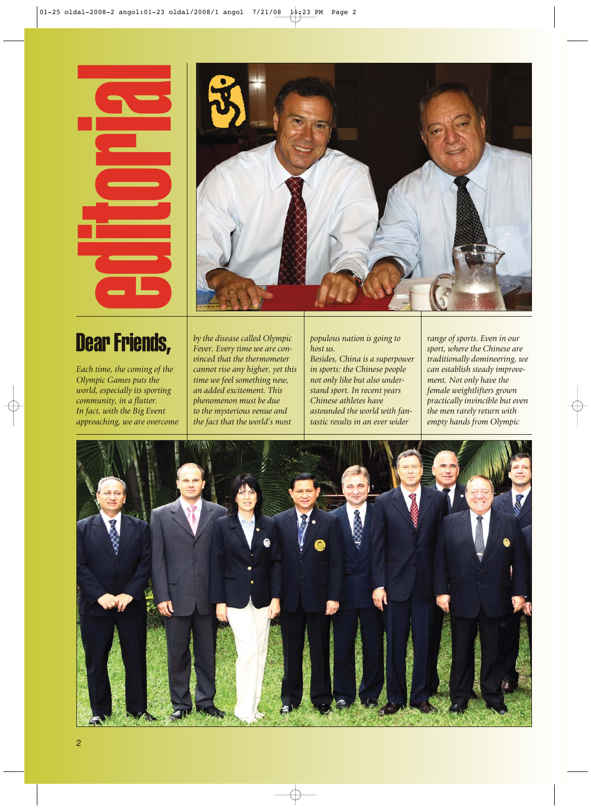## Dear Friends,



*Each time, the coming of the Olympic Games puts the world, especially its sporting community, in a flutter. In fact, with the Big Event approaching, we are overcome*

*by the disease called Olympic Fever. Every time we are convinced that the thermometer cannot rise any higher, yet this time we feel something new, an added excitement. This phenomenon must be due to the mysterious venue and the fact that the world's most*

*populous nation is going to host us.*

*Besides, China is a superpower in sports: the Chinese people not only like but also understand sport. In recent years Chinese athletes have astounded the world with fantastic results in an ever wider*

*range of sports. Even in our sport, where the Chinese are traditionally domineering, we can establish steady improvement. Not only have the female weightlifters grown practically invincible but even the men rarely return with empty hands from Olympic*